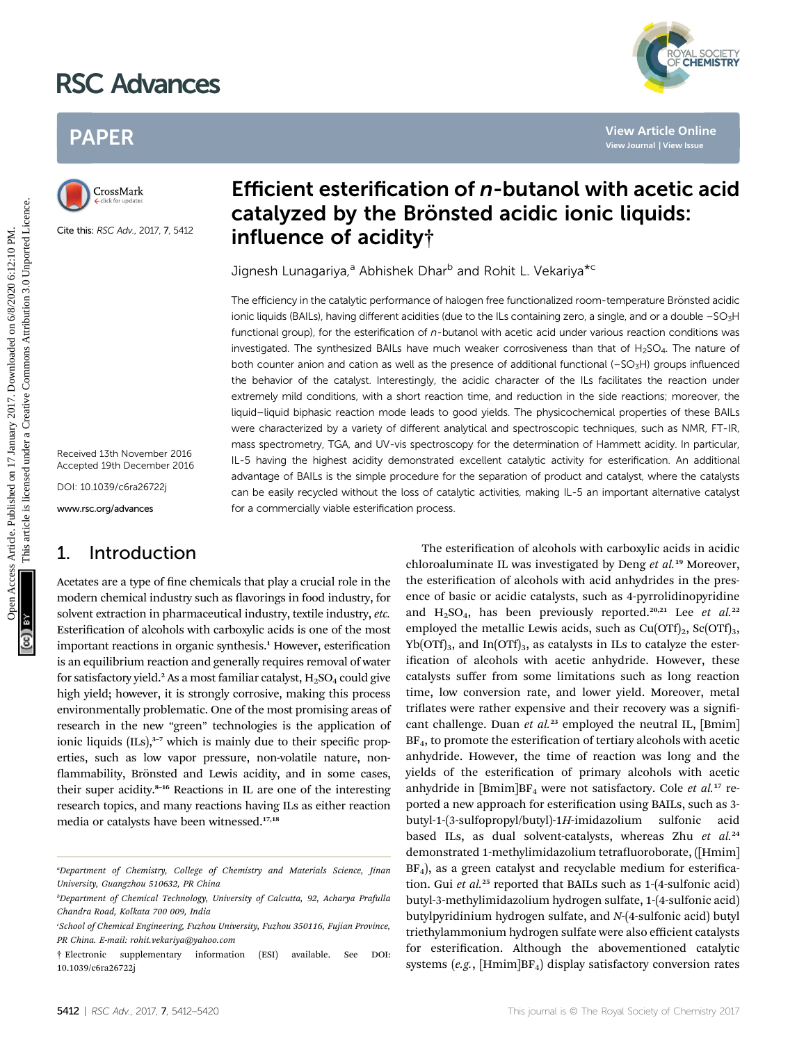## RSC Advances





Cite this: RSC Adv., 2017, 7, 5412

Received 13th November 2016 Accepted 19th December 2016

DOI: 10.1039/c6ra26722j

www.rsc.org/advances

### 1. Introduction

# Efficient esterification of n-butanol with acetic acid catalyzed by the Brönsted acidic ionic liquids: influence of acidity†

YAL SOCIETY<br>**CHEMISTRY** 

Jignesh Lunagariya,<sup>a</sup> Abhishek Dhar<sup>b</sup> and Rohit L. Vekariya<sup>\*c</sup>

The efficiency in the catalytic performance of halogen free functionalized room-temperature Brönsted acidic ionic liquids (BAILs), having different acidities (due to the ILs containing zero, a single, and or a double -SO3H functional group), for the esterification of n-butanol with acetic acid under various reaction conditions was investigated. The synthesized BAILs have much weaker corrosiveness than that of  $H_2SO_4$ . The nature of both counter anion and cation as well as the presence of additional functional (-SO<sub>3</sub>H) groups influenced the behavior of the catalyst. Interestingly, the acidic character of the ILs facilitates the reaction under extremely mild conditions, with a short reaction time, and reduction in the side reactions; moreover, the liquid–liquid biphasic reaction mode leads to good yields. The physicochemical properties of these BAILs were characterized by a variety of different analytical and spectroscopic techniques, such as NMR, FT-IR, mass spectrometry, TGA, and UV-vis spectroscopy for the determination of Hammett acidity. In particular, IL-5 having the highest acidity demonstrated excellent catalytic activity for esterification. An additional advantage of BAILs is the simple procedure for the separation of product and catalyst, where the catalysts can be easily recycled without the loss of catalytic activities, making IL-5 an important alternative catalyst for a commercially viable esterification process. PAPER<br>
CrossMather **Efficient esterification of** *n***-butanol with acetic achieses and the crossMather and all the state of acidity<sup>†</sup><br>
CrossMather <b>Catalyzed by the Brömsted acidic ionic liquids:**<br>
CrossMather **interferenc** 

Acetates are a type of fine chemicals that play a crucial role in the modern chemical industry such as flavorings in food industry, for solvent extraction in pharmaceutical industry, textile industry, etc. Esterification of alcohols with carboxylic acids is one of the most important reactions in organic synthesis.<sup>1</sup> However, esterification is an equilibrium reaction and generally requires removal of water for satisfactory yield.<sup>2</sup> As a most familiar catalyst,  $H_2SO_4$  could give high yield; however, it is strongly corrosive, making this process environmentally problematic. One of the most promising areas of research in the new "green" technologies is the application of ionic liquids  $(ILs)$ ,<sup>3-7</sup> which is mainly due to their specific properties, such as low vapor pressure, non-volatile nature, non flammability, Brönsted and Lewis acidity, and in some cases, their super acidity.<sup>8</sup>–<sup>16</sup> Reactions in IL are one of the interesting research topics, and many reactions having ILs as either reaction media or catalysts have been witnessed.17,18

The esterification of alcohols with carboxylic acids in acidic chloroaluminate IL was investigated by Deng et al.<sup>19</sup> Moreover, the esterification of alcohols with acid anhydrides in the presence of basic or acidic catalysts, such as 4-pyrrolidinopyridine and  $H_2SO_4$ , has been previously reported.<sup>20,21</sup> Lee et al.<sup>22</sup> employed the metallic Lewis acids, such as  $Cu(OTf)_2$ ,  $Sc(OTf)_3$ ,  $Yb(OTf)_{3}$ , and In $(OTf)_{3}$ , as catalysts in ILs to catalyze the esterification of alcohols with acetic anhydride. However, these catalysts suffer from some limitations such as long reaction time, low conversion rate, and lower yield. Moreover, metal triflates were rather expensive and their recovery was a significant challenge. Duan et  $al^{23}$  employed the neutral IL, [Bmim]  $BF<sub>4</sub>$ , to promote the esterification of tertiary alcohols with acetic anhydride. However, the time of reaction was long and the yields of the esterification of primary alcohols with acetic anhydride in  $[Bmim]BF_4$  were not satisfactory. Cole et al.<sup>17</sup> reported a new approach for esterification using BAILs, such as 3butyl-1-(3-sulfopropyl/butyl)-1H-imidazolium sulfonic acid based ILs, as dual solvent-catalysts, whereas Zhu et al.<sup>24</sup> demonstrated 1-methylimidazolium tetrafluoroborate, ([Hmim]  $BF<sub>4</sub>$ ), as a green catalyst and recyclable medium for esterification. Gui et  $al.^{25}$  reported that BAILs such as 1-(4-sulfonic acid) butyl-3-methylimidazolium hydrogen sulfate, 1-(4-sulfonic acid) butylpyridinium hydrogen sulfate, and N-(4-sulfonic acid) butyl triethylammonium hydrogen sulfate were also efficient catalysts for esterification. Although the abovementioned catalytic systems  $(e.g., [Hmim]BF<sub>4</sub>)$  display satisfactory conversion rates

a Department of Chemistry, College of Chemistry and Materials Science, Jinan University, Guangzhou 510632, PR China

b Department of Chemical Technology, University of Calcutta, 92, Acharya Prafulla Chandra Road, Kolkata 700 009, India

c School of Chemical Engineering, Fuzhou University, Fuzhou 350116, Fujian Province, PR China. E-mail: rohit.vekariya@yahoo.com

<sup>†</sup> Electronic supplementary information (ESI) available. See DOI: 10.1039/c6ra26722j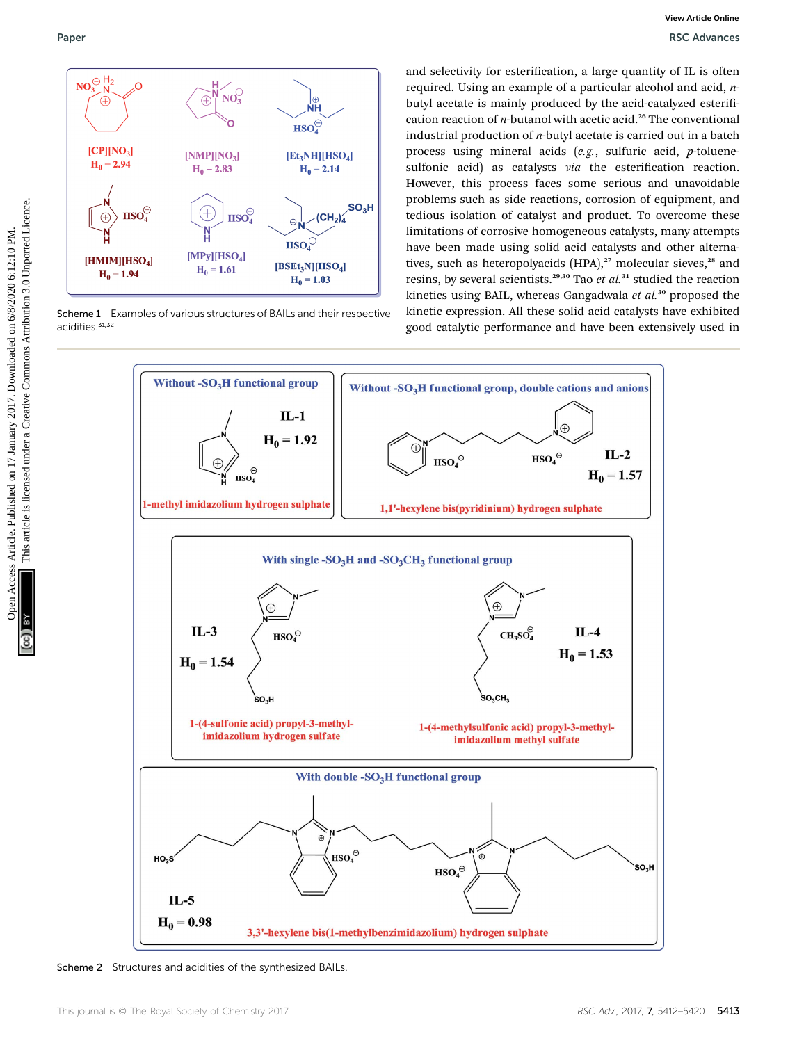

Scheme 1 Examples of various structures of BAILs and their respective acidities.<sup>31,32</sup>

and selectivity for esterification, a large quantity of IL is often required. Using an example of a particular alcohol and acid, nbutyl acetate is mainly produced by the acid-catalyzed esterification reaction of  $n$ -butanol with acetic acid.<sup>26</sup> The conventional industrial production of n-butyl acetate is carried out in a batch process using mineral acids (e.g., sulfuric acid, p-toluenesulfonic acid) as catalysts via the esterification reaction. However, this process faces some serious and unavoidable problems such as side reactions, corrosion of equipment, and tedious isolation of catalyst and product. To overcome these limitations of corrosive homogeneous catalysts, many attempts have been made using solid acid catalysts and other alternatives, such as heteropolyacids  $(HPA)$ ,<sup>27</sup> molecular sieves,<sup>28</sup> and resins, by several scientists.<sup>29,30</sup> Tao et al.<sup>31</sup> studied the reaction kinetics using BAIL, whereas Gangadwala et  $al$ <sup>30</sup> proposed the kinetic expression. All these solid acid catalysts have exhibited good catalytic performance and have been extensively used in



Scheme 2 Structures and acidities of the synthesized BAILs.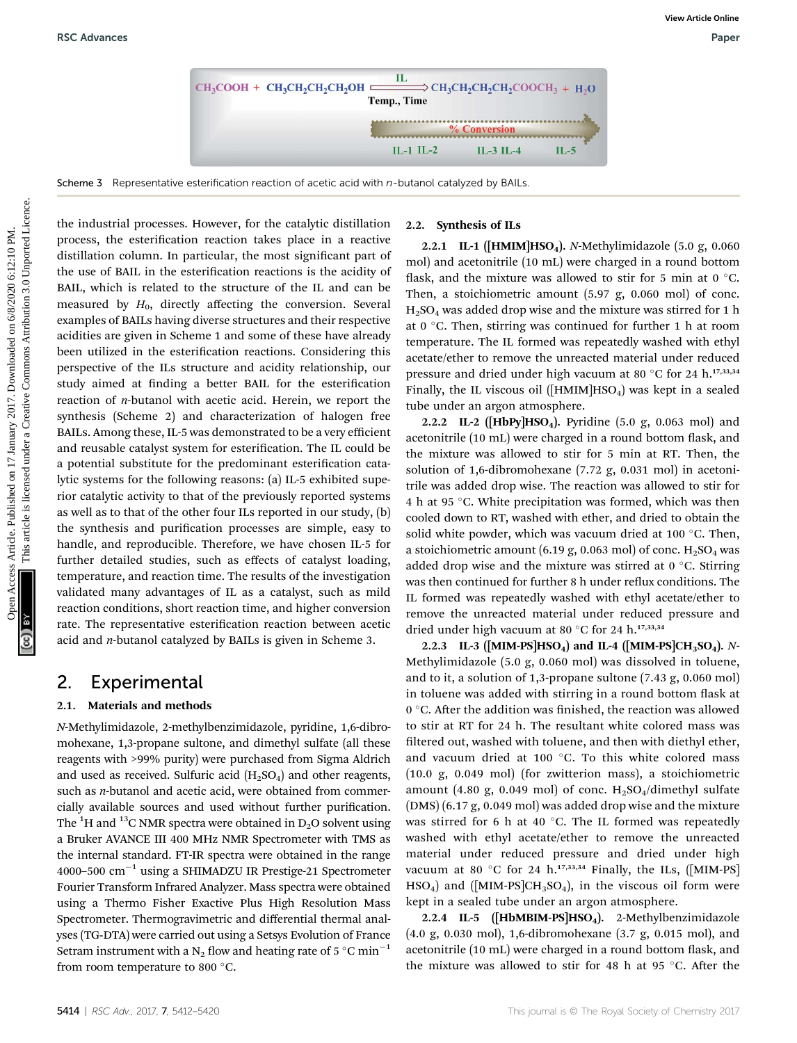

Scheme 3 Representative esterification reaction of acetic acid with  $n$ -butanol catalyzed by BAILs

the industrial processes. However, for the catalytic distillation process, the esterification reaction takes place in a reactive distillation column. In particular, the most significant part of the use of BAIL in the esterification reactions is the acidity of BAIL, which is related to the structure of the IL and can be measured by  $H_0$ , directly affecting the conversion. Several examples of BAILs having diverse structures and their respective acidities are given in Scheme 1 and some of these have already been utilized in the esterification reactions. Considering this perspective of the ILs structure and acidity relationship, our study aimed at finding a better BAIL for the esterification reaction of n-butanol with acetic acid. Herein, we report the synthesis (Scheme 2) and characterization of halogen free BAILs. Among these, IL-5 was demonstrated to be a very efficient and reusable catalyst system for esterification. The IL could be a potential substitute for the predominant esterification catalytic systems for the following reasons: (a) IL-5 exhibited superior catalytic activity to that of the previously reported systems as well as to that of the other four ILs reported in our study, (b) the synthesis and purification processes are simple, easy to handle, and reproducible. Therefore, we have chosen IL-5 for further detailed studies, such as effects of catalyst loading, temperature, and reaction time. The results of the investigation validated many advantages of IL as a catalyst, such as mild reaction conditions, short reaction time, and higher conversion rate. The representative esterification reaction between acetic acid and n-butanol catalyzed by BAILs is given in Scheme 3. **EXAMPRES**<br>
Scheme 3 Representative sistentiation reaction of scene access on with n-bitaned caseback or 8/41.<br>
Scheme 3 Representative sistentiation reaction of scene access with n-bitaned Caseback or BAIs.<br>
This article

### 2. Experimental

#### 2.1. Materials and methods

N-Methylimidazole, 2-methylbenzimidazole, pyridine, 1,6-dibromohexane, 1,3-propane sultone, and dimethyl sulfate (all these reagents with >99% purity) were purchased from Sigma Aldrich and used as received. Sulfuric acid  $(H_2SO_4)$  and other reagents, such as *n*-butanol and acetic acid, were obtained from commercially available sources and used without further purification. The  $\rm ^1H$  and  $\rm ^{13}C$  NMR spectra were obtained in D<sub>2</sub>O solvent using a Bruker AVANCE III 400 MHz NMR Spectrometer with TMS as the internal standard. FT-IR spectra were obtained in the range 4000–500  $\text{cm}^{-1}$  using a SHIMADZU IR Prestige-21 Spectrometer Fourier Transform Infrared Analyzer. Mass spectra were obtained using a Thermo Fisher Exactive Plus High Resolution Mass Spectrometer. Thermogravimetric and differential thermal analyses (TG-DTA) were carried out using a Setsys Evolution of France Setram instrument with a N<sub>2</sub> flow and heating rate of 5 °C min<sup>-1</sup> from room temperature to 800 $^{\circ}$ C.

#### 2.2. Synthesis of ILs

2.2.1 IL-1 ( $[HMIM]HSO<sub>4</sub>$ ). N-Methylimidazole (5.0 g, 0.060) mol) and acetonitrile (10 mL) were charged in a round bottom flask, and the mixture was allowed to stir for 5 min at  $0^{\circ}$ C. Then, a stoichiometric amount (5.97 g, 0.060 mol) of conc.  $H<sub>2</sub>SO<sub>4</sub>$  was added drop wise and the mixture was stirred for 1 h at 0  $\degree$ C. Then, stirring was continued for further 1 h at room temperature. The IL formed was repeatedly washed with ethyl acetate/ether to remove the unreacted material under reduced pressure and dried under high vacuum at 80 °C for 24 h.<sup>17,33,34</sup> Finally, the IL viscous oil ( $[HMIM]HSO<sub>4</sub>$ ) was kept in a sealed tube under an argon atmosphere.

2.2.2 IL-2 ([HbPy]HSO<sub>4</sub>). Pyridine  $(5.0 \text{ g}, 0.063 \text{ mol})$  and acetonitrile (10 mL) were charged in a round bottom flask, and the mixture was allowed to stir for 5 min at RT. Then, the solution of 1,6-dibromohexane (7.72 g, 0.031 mol) in acetonitrile was added drop wise. The reaction was allowed to stir for 4 h at 95 °C. White precipitation was formed, which was then cooled down to RT, washed with ether, and dried to obtain the solid white powder, which was vacuum dried at 100 $\degree$ C. Then, a stoichiometric amount (6.19 g, 0.063 mol) of conc.  $H_2SO_4$  was added drop wise and the mixture was stirred at  $0^{\circ}$ C. Stirring was then continued for further 8 h under reflux conditions. The IL formed was repeatedly washed with ethyl acetate/ether to remove the unreacted material under reduced pressure and dried under high vacuum at 80 °C for 24 h.<sup>17,33,34</sup>

2.2.3 IL-3 ([MIM-PS]HSO<sub>4</sub>) and IL-4 ([MIM-PS]CH<sub>3</sub>SO<sub>4</sub>). N-Methylimidazole (5.0 g, 0.060 mol) was dissolved in toluene, and to it, a solution of 1,3-propane sultone (7.43 g, 0.060 mol) in toluene was added with stirring in a round bottom flask at  $0^{\circ}$ C. After the addition was finished, the reaction was allowed to stir at RT for 24 h. The resultant white colored mass was filtered out, washed with toluene, and then with diethyl ether, and vacuum dried at 100 °C. To this white colored mass (10.0 g, 0.049 mol) (for zwitterion mass), a stoichiometric amount (4.80 g, 0.049 mol) of conc.  $H_2SO_4/d$ imethyl sulfate (DMS) (6.17 g, 0.049 mol) was added drop wise and the mixture was stirred for 6 h at 40  $^{\circ}$ C. The IL formed was repeatedly washed with ethyl acetate/ether to remove the unreacted material under reduced pressure and dried under high vacuum at 80 °C for 24 h.<sup>17,33,34</sup> Finally, the ILs,  $[$ MIM-PS]  $HSO<sub>4</sub>$ ) and ([MIM-PS]CH<sub>3</sub>SO<sub>4</sub>), in the viscous oil form were kept in a sealed tube under an argon atmosphere.

2.2.4 IL-5 ([HbMBIM-PS]HSO<sub>4</sub>). 2-Methylbenzimidazole (4.0 g, 0.030 mol), 1,6-dibromohexane (3.7 g, 0.015 mol), and acetonitrile (10 mL) were charged in a round bottom flask, and the mixture was allowed to stir for 48 h at 95  $\degree$ C. After the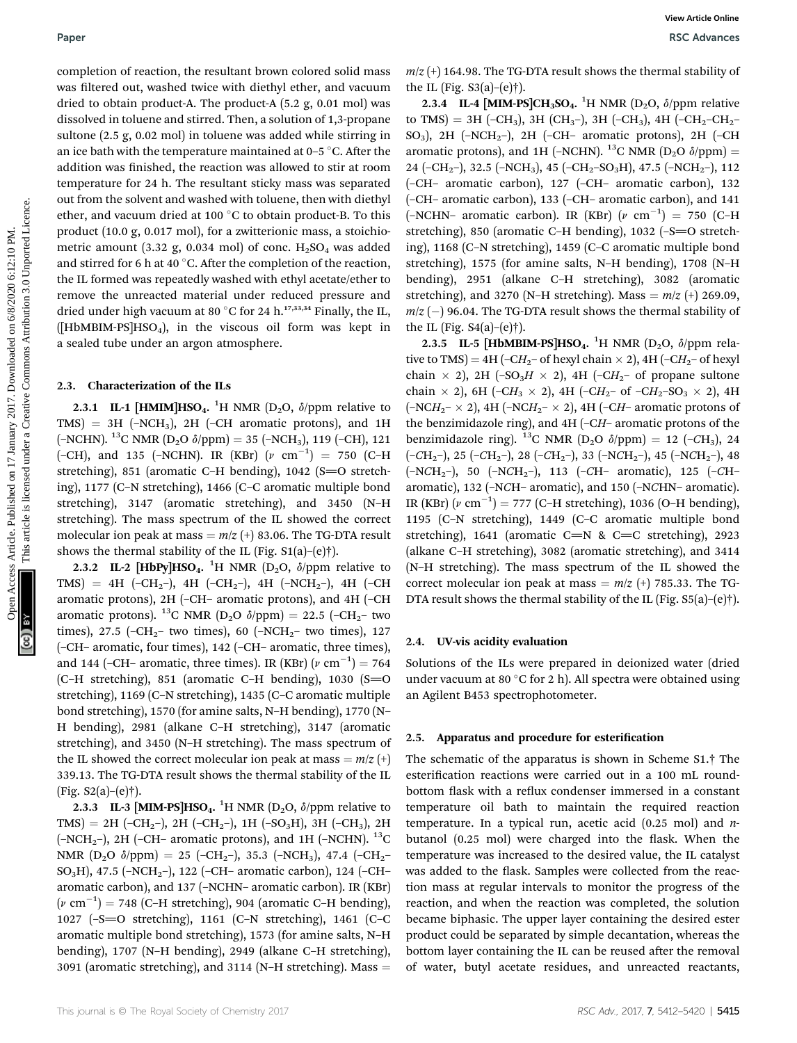completion of reaction, the resultant brown colored solid mass was filtered out, washed twice with diethyl ether, and vacuum dried to obtain product-A. The product-A (5.2 g, 0.01 mol) was dissolved in toluene and stirred. Then, a solution of 1,3-propane sultone (2.5 g, 0.02 mol) in toluene was added while stirring in an ice bath with the temperature maintained at  $0-5$  °C. After the addition was finished, the reaction was allowed to stir at room temperature for 24 h. The resultant sticky mass was separated out from the solvent and washed with toluene, then with diethyl ether, and vacuum dried at 100 $\degree$ C to obtain product-B. To this product (10.0 g, 0.017 mol), for a zwitterionic mass, a stoichiometric amount (3.32 g, 0.034 mol) of conc.  $H_2SO_4$  was added and stirred for 6 h at 40  $^{\circ}$ C. After the completion of the reaction, the IL formed was repeatedly washed with ethyl acetate/ether to remove the unreacted material under reduced pressure and dried under high vacuum at 80 °C for 24 h.<sup>17,33,34</sup> Finally, the IL,  $([HbMBIM-PS]HSO<sub>4</sub>)$ , in the viscous oil form was kept in a sealed tube under an argon atmosphere. Paper<br>
Seconds Article on Access Article on 17 Absorption and New York (1915-19, The CHO (1917) PCM, New York (1916) Articles. Article is licensed on 17 Absorption and the CHO (1917) PCM, 1912 (1917) PCM, 2017 (1917) PCM,

#### 2.3. Characterization of the ILs

2.3.1 IL-1 [HMIM]HSO<sub>4</sub>. <sup>1</sup>H NMR (D<sub>2</sub>O,  $\delta$ /ppm relative to  $TMS$  = 3H (-NCH<sub>3</sub>), 2H (-CH aromatic protons), and 1H (-NCHN). <sup>13</sup>C NMR (D<sub>2</sub>O  $\delta$ /ppm) = 35 (-NCH<sub>3</sub>), 119 (-CH), 121 (-CH), and 135 (-NCHN). IR (KBr)  $(\nu \text{ cm}^{-1}) = 750$  (C-H stretching), 851 (aromatic C–H bending), 1042 (S=O stretching), 1177 (C–N stretching), 1466 (C–C aromatic multiple bond stretching), 3147 (aromatic stretching), and 3450 (N–H stretching). The mass spectrum of the IL showed the correct molecular ion peak at mass =  $m/z$  (+) 83.06. The TG-DTA result shows the thermal stability of the IL (Fig.  $S1(a)$ –(e)†).

2.3.2 IL-2 [HbPy]HSO<sub>4</sub>. <sup>1</sup>H NMR (D<sub>2</sub>O,  $\delta$ /ppm relative to TMS) = 4H (–CH<sub>2</sub>–), 4H (–CH<sub>2</sub>–), 4H (–NCH<sub>2</sub>–), 4H (–CH aromatic protons), 2H (–CH– aromatic protons), and 4H (–CH aromatic protons). <sup>13</sup>C NMR (D<sub>2</sub>O  $\delta$ /ppm) = 22.5 (-CH<sub>2</sub>– two times), 27.5 (-CH<sub>2</sub>- two times), 60 (-NCH<sub>2</sub>- two times), 127 (–CH– aromatic, four times), 142 (–CH– aromatic, three times), and 144 (–CH– aromatic, three times). IR (KBr)  $(\nu \text{ cm}^{-1}) = 764$ (C–H stretching), 851 (aromatic C–H bending), 1030 (S=O stretching), 1169 (C–N stretching), 1435 (C–C aromatic multiple bond stretching), 1570 (for amine salts, N–H bending), 1770 (N– H bending), 2981 (alkane C–H stretching), 3147 (aromatic stretching), and 3450 (N–H stretching). The mass spectrum of the IL showed the correct molecular ion peak at mass =  $m/z$  (+) 339.13. The TG-DTA result shows the thermal stability of the IL  $(Fig. S2(a)–(e)†)$ .

2.3.3 IL-3 [MIM-PS]HSO<sub>4</sub>. <sup>1</sup>H NMR (D<sub>2</sub>O,  $\delta$ /ppm relative to  $TMS$  = 2H (-CH<sub>2</sub>-), 2H (-CH<sub>2</sub>-), 1H (-SO<sub>3</sub>H), 3H (-CH<sub>3</sub>), 2H (-NCH<sub>2</sub>-), 2H (-CH- aromatic protons), and 1H (-NCHN). <sup>13</sup>C NMR (D<sub>2</sub>O  $\delta$ /ppm) = 25 (–CH<sub>2</sub>–), 35.3 (–NCH<sub>3</sub>), 47.4 (–CH<sub>2</sub>– SO3H), 47.5 (–NCH2–), 122 (–CH– aromatic carbon), 124 (–CH– aromatic carbon), and 137 (–NCHN– aromatic carbon). IR (KBr)  $(\nu \text{ cm}^{-1}) = 748 \text{ (C-H stretching)}$ , 904 (aromatic C–H bending), 1027 (–S]O stretching), 1161 (C–N stretching), 1461 (C–C aromatic multiple bond stretching), 1573 (for amine salts, N–H bending), 1707 (N–H bending), 2949 (alkane C–H stretching), 3091 (aromatic stretching), and 3114 (N-H stretching). Mass  $=$ 

 $m/z$  (+) 164.98. The TG-DTA result shows the thermal stability of the IL (Fig.  $S3(a)$ –(e)†).

2.3.4 IL-4 [MIM-PS]CH<sub>3</sub>SO<sub>4</sub>.<sup>1</sup>H NMR (D<sub>2</sub>O,  $\delta$ /ppm relative to TMS) = 3H (-CH<sub>3</sub>), 3H (CH<sub>3</sub>-), 3H (-CH<sub>3</sub>), 4H (-CH<sub>2</sub>-CH<sub>2</sub>- $SO_3$ ), 2H (–NCH<sub>2</sub>–), 2H (–CH– aromatic protons), 2H (–CH aromatic protons), and 1H (–NCHN). <sup>13</sup>C NMR (D<sub>2</sub>O  $\delta$ /ppm) = 24 ( $-CH_2$ ), 32.5 ( $-NCH_3$ ), 45 ( $-CH_2$  $-SO_3H$ ), 47.5 ( $-NCH_2$ ), 112 (–CH– aromatic carbon), 127 (–CH– aromatic carbon), 132 (–CH– aromatic carbon), 133 (–CH– aromatic carbon), and 141  $(-NCHN-$  aromatic carbon). IR  $(KBr)$   $(\nu \text{ cm}^{-1}) = 750$  (C-H stretching), 850 (aromatic C–H bending), 1032 (–S= $\overline{O}$  stretching), 1168 (C–N stretching), 1459 (C–C aromatic multiple bond stretching), 1575 (for amine salts, N–H bending), 1708 (N–H bending), 2951 (alkane C–H stretching), 3082 (aromatic stretching), and 3270 (N–H stretching). Mass =  $m/z$  (+) 269.09,  $m/z$  (-) 96.04. The TG-DTA result shows the thermal stability of the IL (Fig.  $S4(a)$ –(e)†).

2.3.5 IL-5 [HbMBIM-PS]HSO<sub>4</sub>. <sup>1</sup>H NMR (D<sub>2</sub>O,  $\delta$ /ppm relative to TMS) = 4H (–CH<sub>2</sub>– of hexyl chain  $\times$  2), 4H (–CH<sub>2</sub>– of hexyl chain  $\times$  2), 2H (-SO<sub>3</sub>H  $\times$  2), 4H (-CH<sub>2</sub>- of propane sultone chain  $\times$  2), 6H (–CH<sub>3</sub>  $\times$  2), 4H (–CH<sub>2</sub>– of –CH<sub>2</sub>–SO<sub>3</sub>  $\times$  2), 4H  $(-NCH_2-\times 2)$ , 4H  $(-NCH_2-\times 2)$ , 4H  $(-CH-$  aromatic protons of the benzimidazole ring), and 4H (–CH– aromatic protons of the benzimidazole ring). <sup>13</sup>C NMR (D<sub>2</sub>O  $\delta$ /ppm) = 12 (-CH<sub>3</sub>), 24 ( $-CH_2$ –), 25 ( $-CH_2$ –), 28 ( $-CH_2$ –), 33 ( $-NCH_2$ –), 45 ( $-NCH_2$ –), 48  $(-NCH_2-), 50$   $(-NCH_2-), 113$   $(-CH-$  aromatic), 125  $(-CH$ aromatic), 132 (–NCH– aromatic), and 150 (–NCHN– aromatic). IR (KBr) ( $\nu$  cm<sup>-1</sup>) = 777 (C-H stretching), 1036 (O-H bending), 1195 (C–N stretching), 1449 (C–C aromatic multiple bond stretching), 1641 (aromatic C=N & C=C stretching), 2923 (alkane C–H stretching), 3082 (aromatic stretching), and 3414 (N–H stretching). The mass spectrum of the IL showed the correct molecular ion peak at mass  $= m/z$  (+) 785.33. The TG-DTA result shows the thermal stability of the IL (Fig. S5(a)–(e)†).

#### 2.4. UV-vis acidity evaluation

Solutions of the ILs were prepared in deionized water (dried under vacuum at 80 °C for 2 h). All spectra were obtained using an Agilent B453 spectrophotometer.

#### 2.5. Apparatus and procedure for esterification

The schematic of the apparatus is shown in Scheme S1.† The esterification reactions were carried out in a 100 mL roundbottom flask with a reflux condenser immersed in a constant temperature oil bath to maintain the required reaction temperature. In a typical run, acetic acid  $(0.25 \text{ mol})$  and nbutanol  $(0.25 \text{ mol})$  were charged into the flask. When the temperature was increased to the desired value, the IL catalyst was added to the flask. Samples were collected from the reaction mass at regular intervals to monitor the progress of the reaction, and when the reaction was completed, the solution became biphasic. The upper layer containing the desired ester product could be separated by simple decantation, whereas the bottom layer containing the IL can be reused after the removal of water, butyl acetate residues, and unreacted reactants,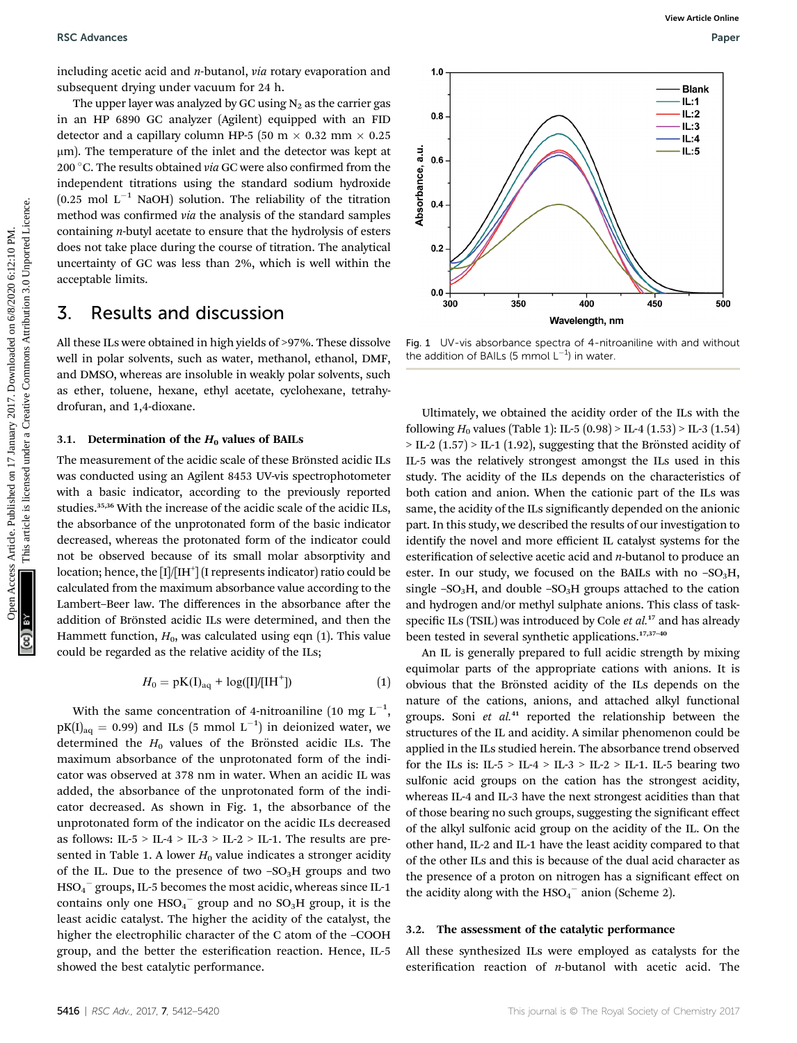including acetic acid and  $n$ -butanol, via rotary evaporation and subsequent drying under vacuum for 24 h.

The upper layer was analyzed by GC using  $N_2$  as the carrier gas in an HP 6890 GC analyzer (Agilent) equipped with an FID detector and a capillary column HP-5 (50 m  $\times$  0.32 mm  $\times$  0.25 mm). The temperature of the inlet and the detector was kept at 200 °C. The results obtained via GC were also confirmed from the independent titrations using the standard sodium hydroxide  $(0.25 \text{ mol L}^{-1} \text{ NaOH})$  solution. The reliability of the titration method was confirmed via the analysis of the standard samples containing n-butyl acetate to ensure that the hydrolysis of esters does not take place during the course of titration. The analytical uncertainty of GC was less than 2%, which is well within the acceptable limits.

### 3. Results and discussion

All these ILs were obtained in high yields of >97%. These dissolve well in polar solvents, such as water, methanol, ethanol, DMF, and DMSO, whereas are insoluble in weakly polar solvents, such as ether, toluene, hexane, ethyl acetate, cyclohexane, tetrahydrofuran, and 1,4-dioxane.

#### 3.1. Determination of the  $H_0$  values of BAILs

The measurement of the acidic scale of these Brönsted acidic ILs was conducted using an Agilent 8453 UV-vis spectrophotometer with a basic indicator, according to the previously reported studies.<sup>35,36</sup> With the increase of the acidic scale of the acidic ILs, the absorbance of the unprotonated form of the basic indicator decreased, whereas the protonated form of the indicator could not be observed because of its small molar absorptivity and location; hence, the  $\text{[I]/\text{[IH}}^+ \text{]}$  (I represents indicator) ratio could be calculated from the maximum absorbance value according to the Lambert–Beer law. The differences in the absorbance after the addition of Brönsted acidic ILs were determined, and then the Hammett function,  $H_0$ , was calculated using eqn (1). This value could be regarded as the relative acidity of the ILs;

$$
H_0 = pK(I)_{aq} + log([I]/[IH^+])
$$
 (1)

With the same concentration of 4-nitroaniline (10 mg  $L^{-1}$ ,  $pK(I)_{aq} = 0.99$ ) and ILs (5 mmol L<sup>-1</sup>) in deionized water, we determined the  $H_0$  values of the Brönsted acidic ILs. The maximum absorbance of the unprotonated form of the indicator was observed at 378 nm in water. When an acidic IL was added, the absorbance of the unprotonated form of the indicator decreased. As shown in Fig. 1, the absorbance of the unprotonated form of the indicator on the acidic ILs decreased as follows: IL-5 > IL-4 > IL-3 > IL-2 > IL-1. The results are presented in Table 1. A lower  $H_0$  value indicates a stronger acidity of the IL. Due to the presence of two  $-SO<sub>3</sub>H$  groups and two  $\mathrm{HSO_4}^-$  groups, IL-5 becomes the most acidic, whereas since IL-1 contains only one  $\mathrm{HSO_4}^-$  group and no  $\mathrm{SO_3H}$  group, it is the least acidic catalyst. The higher the acidity of the catalyst, the higher the electrophilic character of the C atom of the –COOH group, and the better the esterification reaction. Hence, IL-5 showed the best catalytic performance.



Fig. 1 UV-vis absorbance spectra of 4-nitroaniline with and without the addition of BAILs (5 mmol  $L^{-1}$ ) in water.

Ultimately, we obtained the acidity order of the ILs with the following  $H_0$  values (Table 1): IL-5 (0.98) > IL-4 (1.53) > IL-3 (1.54)  $>$  IL-2 (1.57)  $>$  IL-1 (1.92), suggesting that the Brönsted acidity of IL-5 was the relatively strongest amongst the ILs used in this study. The acidity of the ILs depends on the characteristics of both cation and anion. When the cationic part of the ILs was same, the acidity of the ILs significantly depended on the anionic part. In this study, we described the results of our investigation to identify the novel and more efficient IL catalyst systems for the esterification of selective acetic acid and  $n$ -butanol to produce an ester. In our study, we focused on the BAILs with no  $-SO<sub>3</sub>H$ , single  $-SO<sub>3</sub>H$ , and double  $-SO<sub>3</sub>H$  groups attached to the cation and hydrogen and/or methyl sulphate anions. This class of taskspecific ILs (TSIL) was introduced by Cole  $et$   $al.^{17}$  and has already been tested in several synthetic applications.<sup>17,37-40</sup> **Example on 17** Solvences Article control on 17 Accele control on 17 Accele control on 17 Accele control on 17 Accele control on 17 Accele control on 17 Accele control on 17 Accele control on 17 Accele control of the meth

> An IL is generally prepared to full acidic strength by mixing equimolar parts of the appropriate cations with anions. It is obvious that the Brönsted acidity of the ILs depends on the nature of the cations, anions, and attached alkyl functional groups. Soni et al.<sup>41</sup> reported the relationship between the structures of the IL and acidity. A similar phenomenon could be applied in the ILs studied herein. The absorbance trend observed for the ILs is: IL-5 > IL-4 > IL-3 > IL-2 > IL-1. IL-5 bearing two sulfonic acid groups on the cation has the strongest acidity, whereas IL-4 and IL-3 have the next strongest acidities than that of those bearing no such groups, suggesting the signicant effect of the alkyl sulfonic acid group on the acidity of the IL. On the other hand, IL-2 and IL-1 have the least acidity compared to that of the other ILs and this is because of the dual acid character as the presence of a proton on nitrogen has a significant effect on the acidity along with the  $HSO_4^-$  anion (Scheme 2).

#### 3.2. The assessment of the catalytic performance

All these synthesized ILs were employed as catalysts for the esterification reaction of *n*-butanol with acetic acid. The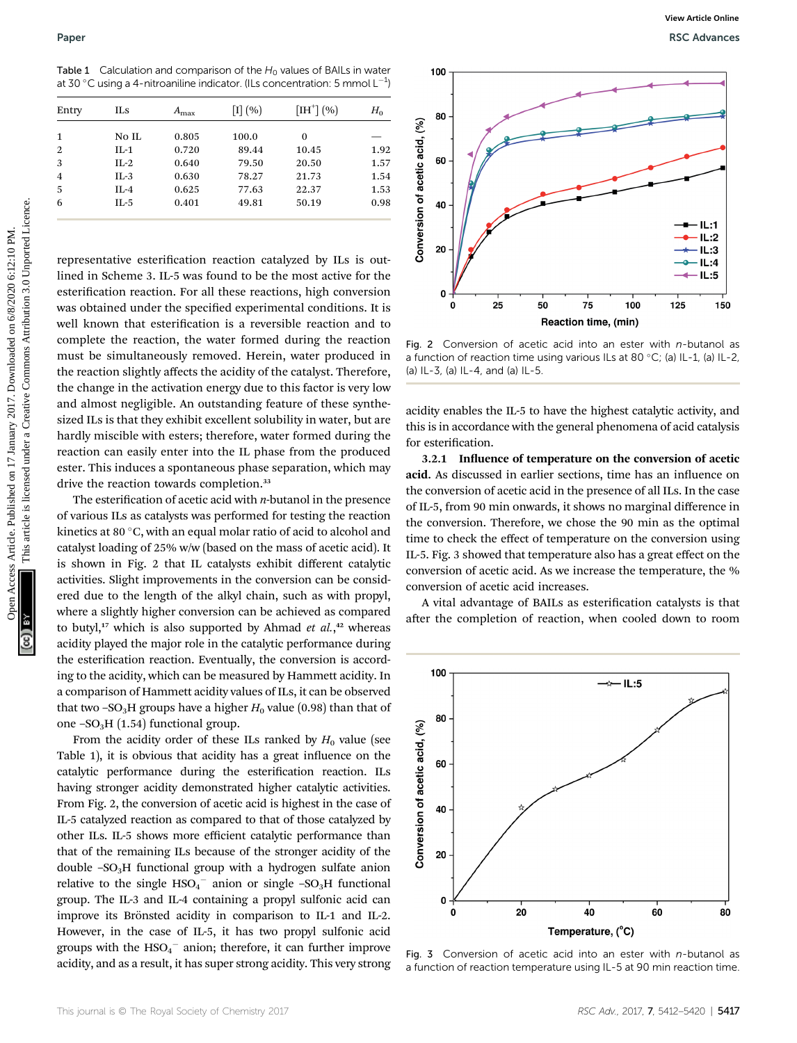Table 1 Calculation and comparison of the  $H_0$  values of BAILs in water at 30 °C using a 4-nitroaniline indicator. (ILs concentration: 5 mmol  $\mathsf{L}^{-1}\mathsf{)}$ 

| Entry          | ILs      | $A_{\rm max}$ | $\left[1\right]\left(\% \right)$ | $[IH^{\dagger}](\%)]$ | $H_0$ |
|----------------|----------|---------------|----------------------------------|-----------------------|-------|
| 1              | No IL    | 0.805         | 100.0                            | 0                     |       |
| $\overline{2}$ | $IL-1$   | 0.720         | 89.44                            | 10.45                 | 1.92  |
| 3              | $IL-2$   | 0.640         | 79.50                            | 20.50                 | 1.57  |
| $\overline{4}$ | $IL-3$   | 0.630         | 78.27                            | 21.73                 | 1.54  |
| 5              | $II - 4$ | 0.625         | 77.63                            | 22.37                 | 1.53  |
| 6              | IL-5     | 0.401         | 49.81                            | 50.19                 | 0.98  |

representative esterification reaction catalyzed by ILs is outlined in Scheme 3. IL-5 was found to be the most active for the esterification reaction. For all these reactions, high conversion was obtained under the specified experimental conditions. It is well known that esterification is a reversible reaction and to complete the reaction, the water formed during the reaction must be simultaneously removed. Herein, water produced in the reaction slightly affects the acidity of the catalyst. Therefore, the change in the activation energy due to this factor is very low and almost negligible. An outstanding feature of these synthesized ILs is that they exhibit excellent solubility in water, but are hardly miscible with esters; therefore, water formed during the reaction can easily enter into the IL phase from the produced ester. This induces a spontaneous phase separation, which may drive the reaction towards completion.<sup>33</sup>

The esterification of acetic acid with  $n$ -butanol in the presence of various ILs as catalysts was performed for testing the reaction kinetics at 80 $\degree$ C, with an equal molar ratio of acid to alcohol and catalyst loading of 25% w/w (based on the mass of acetic acid). It is shown in Fig. 2 that IL catalysts exhibit different catalytic activities. Slight improvements in the conversion can be considered due to the length of the alkyl chain, such as with propyl, where a slightly higher conversion can be achieved as compared to butyl,<sup>17</sup> which is also supported by Ahmad et al.,<sup>42</sup> whereas acidity played the major role in the catalytic performance during the esterification reaction. Eventually, the conversion is according to the acidity, which can be measured by Hammett acidity. In a comparison of Hammett acidity values of ILs, it can be observed that two –SO<sub>3</sub>H groups have a higher  $H_0$  value (0.98) than that of one  $-SO<sub>3</sub>H$  (1.54) functional group.

From the acidity order of these ILs ranked by  $H_0$  value (see Table 1), it is obvious that acidity has a great influence on the catalytic performance during the esterification reaction. ILs having stronger acidity demonstrated higher catalytic activities. From Fig. 2, the conversion of acetic acid is highest in the case of IL-5 catalyzed reaction as compared to that of those catalyzed by other ILs. IL-5 shows more efficient catalytic performance than that of the remaining ILs because of the stronger acidity of the double  $-SO<sub>3</sub>H$  functional group with a hydrogen sulfate anion relative to the single  $HSO_4^-$  anion or single  $-SO_3H$  functional group. The IL-3 and IL-4 containing a propyl sulfonic acid can improve its Brönsted acidity in comparison to IL-1 and IL-2. However, in the case of IL-5, it has two propyl sulfonic acid groups with the  $\mathrm{HSO_4}^-$  anion; therefore, it can further improve acidity, and as a result, it has super strong acidity. This very strong



Fig. 2 Conversion of acetic acid into an ester with  $n$ -butanol as a function of reaction time using various ILs at 80 °C; (a) IL-1, (a) IL-2, (a) IL-3, (a) IL-4, and (a) IL-5.

acidity enables the IL-5 to have the highest catalytic activity, and this is in accordance with the general phenomena of acid catalysis for esterification.

3.2.1 Influence of temperature on the conversion of acetic acid. As discussed in earlier sections, time has an influence on the conversion of acetic acid in the presence of all ILs. In the case of IL-5, from 90 min onwards, it shows no marginal difference in the conversion. Therefore, we chose the 90 min as the optimal time to check the effect of temperature on the conversion using IL-5. Fig. 3 showed that temperature also has a great effect on the conversion of acetic acid. As we increase the temperature, the % conversion of acetic acid increases.

A vital advantage of BAILs as esterification catalysts is that after the completion of reaction, when cooled down to room



Fig. 3 Conversion of acetic acid into an ester with  $n$ -butanol as a function of reaction temperature using IL-5 at 90 min reaction time.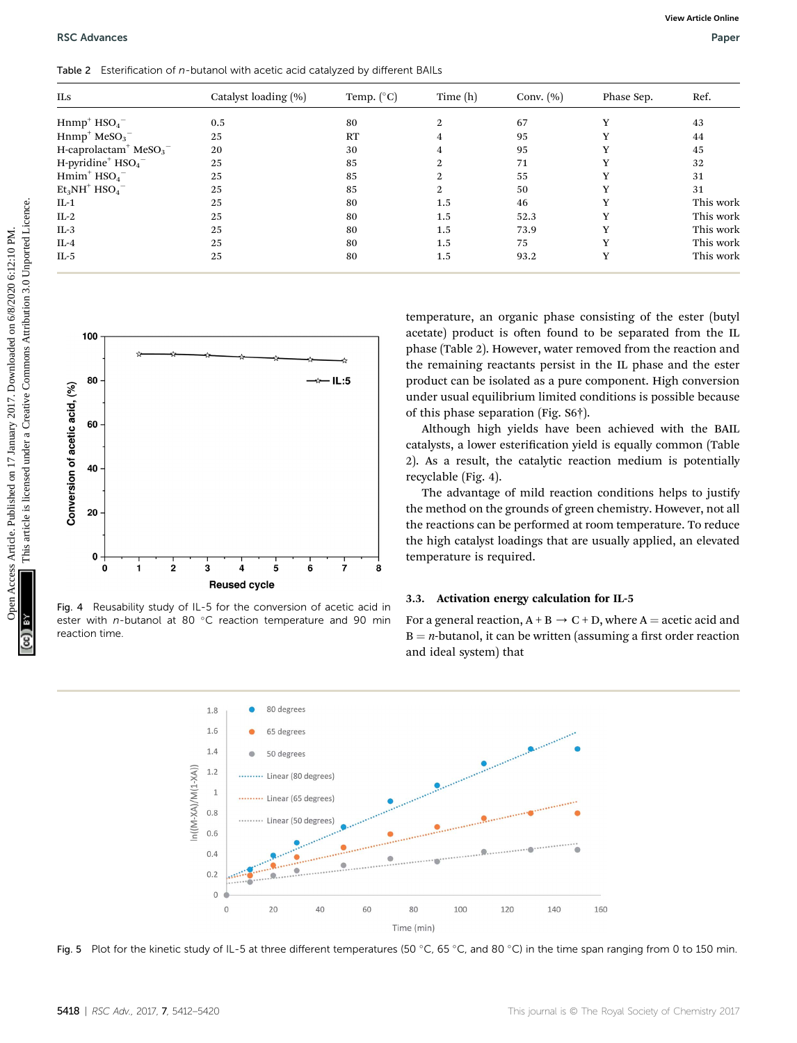| ILs                            |                                                           | Catalyst loading (%) | Temp. (°C)          | Time (h)                             | Conv. $(\% )$ | Phase Sep.                                                                                                                                                                                                                                                                                                                | Ref.      |
|--------------------------------|-----------------------------------------------------------|----------------------|---------------------|--------------------------------------|---------------|---------------------------------------------------------------------------------------------------------------------------------------------------------------------------------------------------------------------------------------------------------------------------------------------------------------------------|-----------|
|                                | $Hnmp+ HSO4-$                                             | 0.5                  | 80                  | 2                                    | 67            | Y                                                                                                                                                                                                                                                                                                                         | 43        |
|                                | $Hnmp+ MeSO3$                                             | 25                   | RT                  | 4                                    | 95            | Y                                                                                                                                                                                                                                                                                                                         | 44        |
|                                | H-caprolactam <sup>+</sup> MeSO <sub>3</sub> <sup>-</sup> | 20                   | 30                  | 4                                    | 95            | Y                                                                                                                                                                                                                                                                                                                         | 45        |
|                                | $H$ -pyridine <sup>+</sup> $HSO4$ <sup>-</sup>            | 25                   | 85                  | 2                                    | 71            | Y                                                                                                                                                                                                                                                                                                                         | 32        |
|                                | $Hmim+ HSO4-$                                             | 25                   | 85                  | 2                                    | 55            | Y                                                                                                                                                                                                                                                                                                                         | 31        |
|                                | $Et3NH+HSO4-$                                             | 25                   | 85                  | 2                                    | 50            | Y                                                                                                                                                                                                                                                                                                                         | 31        |
| $IL-1$                         |                                                           | 25                   | 80                  | 1.5                                  | 46            | Y                                                                                                                                                                                                                                                                                                                         | This work |
| $IL-2$                         |                                                           | 25                   | 80                  | 1.5                                  | 52.3          | Y                                                                                                                                                                                                                                                                                                                         | This work |
| $IL-3$                         |                                                           | 25                   | 80                  | 1.5                                  | 73.9          | Y                                                                                                                                                                                                                                                                                                                         | This work |
| $IL-4$                         |                                                           | 25                   | 80                  | 1.5                                  | 75            | Y                                                                                                                                                                                                                                                                                                                         | This work |
| $IL-5$                         |                                                           | 25                   | 80                  | 1.5                                  | 93.2          | $\mathbf Y$                                                                                                                                                                                                                                                                                                               | This work |
|                                | 100                                                       |                      |                     |                                      |               | temperature, an organic phase consisting of the ester (butyl<br>acetate) product is often found to be separated from the IL                                                                                                                                                                                               |           |
|                                | 80<br>60                                                  |                      | *— IL:5             | of this phase separation (Fig. S6†). |               | phase (Table 2). However, water removed from the reaction and<br>the remaining reactants persist in the IL phase and the ester<br>product can be isolated as a pure component. High conversion<br>under usual equilibrium limited conditions is possible because<br>Although high yields have been achieved with the BAIL |           |
|                                | 40                                                        |                      |                     | recyclable (Fig. 4).                 |               | catalysts, a lower esterification yield is equally common (Table<br>2). As a result, the catalytic reaction medium is potentially                                                                                                                                                                                         |           |
| Conversion of acetic acid, (%) | 20                                                        |                      |                     |                                      |               | The advantage of mild reaction conditions helps to justify<br>the method on the grounds of green chemistry. However, not all<br>the reactions can be performed at room temperature. To reduce<br>the high catalyst loadings that are usually applied, an elevated                                                         |           |
|                                | 0<br>$\overline{\mathbf{2}}$<br>0<br>1                    | 5<br>6<br>3<br>4     | $\overline{7}$<br>8 | temperature is required.             |               |                                                                                                                                                                                                                                                                                                                           |           |





Fig. 4 Reusability study of IL-5 for the conversion of acetic acid in ester with n-butanol at 80  $^{\circ}$ C reaction temperature and 90 min reaction time.

#### 3.3. Activation energy calculation for IL-5

For a general reaction,  $A + B \rightarrow C + D$ , where A = acetic acid and  $B = n$ -butanol, it can be written (assuming a first order reaction and ideal system) that



Fig. 5 Plot for the kinetic study of IL-5 at three different temperatures (50 °C, 65 °C, and 80 °C) in the time span ranging from 0 to 150 min.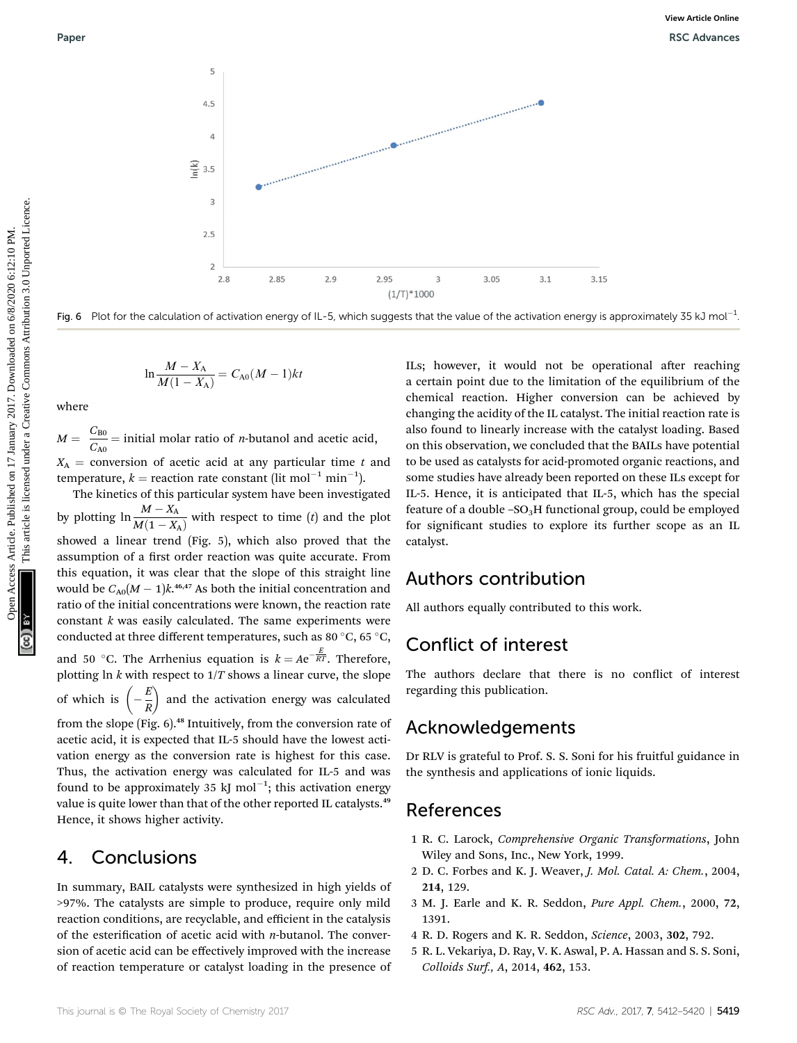



$$
\ln \frac{M - X_{\rm A}}{M(1 - X_{\rm A})} = C_{\rm A0}(M - 1)kt
$$

where

 $M = \frac{C_{B0}}{C_{A0}}$  = initial molar ratio of *n*-butanol and acetic acid,  $X_A$  = conversion of acetic acid at any particular time t and

temperature,  $k =$  reaction rate constant (lit mol<sup>-1</sup> min<sup>-1</sup>). The kinetics of this particular system have been investigated by plotting  $\ln \frac{M - X_A}{M(1 - X_A)}$  with respect to time (t) and the plot showed a linear trend (Fig. 5), which also proved that the assumption of a first order reaction was quite accurate. From this equation, it was clear that the slope of this straight line would be  $C_{A0}(M-1)k^{46,47}$  As both the initial concentration and ratio of the initial concentrations were known, the reaction rate constant  $k$  was easily calculated. The same experiments were conducted at three different temperatures, such as 80  $\degree$ C, 65  $\degree$ C, and 50 °C. The Arrhenius equation is  $k = Ae^{-\frac{E}{RT}}$ . Therefore, plotting ln  $k$  with respect to  $1/T$  shows a linear curve, the slope of which is  $\left(-\frac{E}{R}\right)$  and the activation energy was calculated from the slope (Fig. 6).<sup>48</sup> Intuitively, from the conversion rate of acetic acid, it is expected that IL-5 should have the lowest activation energy as the conversion rate is highest for this case.

Thus, the activation energy was calculated for IL-5 and was found to be approximately 35 kJ mol $^{-1}$ ; this activation energy value is quite lower than that of the other reported IL catalysts.<sup>49</sup> Hence, it shows higher activity.

### 4. Conclusions

In summary, BAIL catalysts were synthesized in high yields of >97%. The catalysts are simple to produce, require only mild reaction conditions, are recyclable, and efficient in the catalysis of the esterification of acetic acid with *n*-butanol. The conversion of acetic acid can be effectively improved with the increase of reaction temperature or catalyst loading in the presence of ILs; however, it would not be operational after reaching a certain point due to the limitation of the equilibrium of the chemical reaction. Higher conversion can be achieved by changing the acidity of the IL catalyst. The initial reaction rate is also found to linearly increase with the catalyst loading. Based on this observation, we concluded that the BAILs have potential to be used as catalysts for acid-promoted organic reactions, and some studies have already been reported on these ILs except for IL-5. Hence, it is anticipated that IL-5, which has the special feature of a double  $-SO<sub>3</sub>H$  functional group, could be employed for significant studies to explore its further scope as an IL catalyst.

### Authors contribution

All authors equally contributed to this work.

### Conflict of interest

The authors declare that there is no conflict of interest regarding this publication.

### Acknowledgements

Dr RLV is grateful to Prof. S. S. Soni for his fruitful guidance in the synthesis and applications of ionic liquids.

### References

- 1 R. C. Larock, Comprehensive Organic Transformations, John Wiley and Sons, Inc., New York, 1999.
- 2 D. C. Forbes and K. J. Weaver, J. Mol. Catal. A: Chem., 2004, 214, 129.
- 3 M. J. Earle and K. R. Seddon, Pure Appl. Chem., 2000, 72, 1391.
- 4 R. D. Rogers and K. R. Seddon, Science, 2003, 302, 792.
- 5 R. L. Vekariya, D. Ray, V. K. Aswal, P. A. Hassan and S. S. Soni, Colloids Surf., A, 2014, 462, 153.